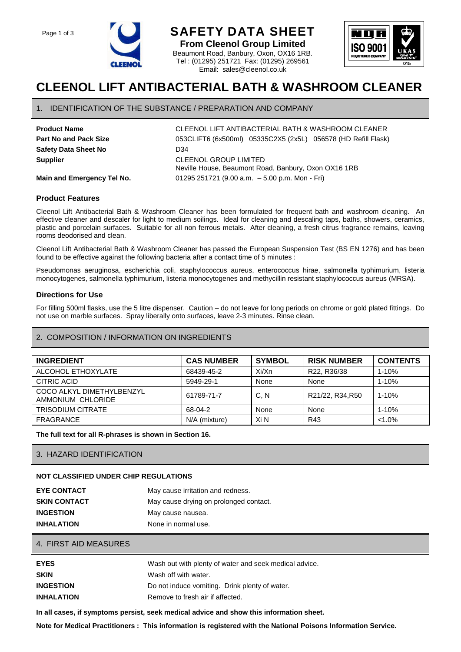



# **CLEENOL LIFT ANTIBACTERIAL BATH & WASHROOM CLEANER**

**From Cleenol Group Limited** Beaumont Road, Banbury, Oxon, OX16 1RB. Tel : (01295) 251721 Fax: (01295) 269561 Email: sales@cleenol.co.uk

### 1. IDENTIFICATION OF THE SUBSTANCE / PREPARATION AND COMPANY

| <b>Product Name</b>          | <b>CLE</b> |
|------------------------------|------------|
| <b>Part No and Pack Size</b> | 053        |
| <b>Safety Data Sheet No</b>  | D34        |
| <b>Supplier</b>              | <b>CLE</b> |

**Product Name** CLEENOL LIFT ANTIBACTERIAL BATH & WASHROOM CLEANER 053CLIFT6 (6x500ml) 05335C2X5 (2x5L) 056578 (HD Refill Flask) **CLEENOL GROUP LIMITED** Neville House, Beaumont Road, Banbury, Oxon OX16 1RB **Main and Emergency Tel No.** 01295 251721 (9.00 a.m. - 5.00 p.m. Mon - Fri)

# **Product Features**

Cleenol Lift Antibacterial Bath & Washroom Cleaner has been formulated for frequent bath and washroom cleaning. An effective cleaner and descaler for light to medium soilings. Ideal for cleaning and descaling taps, baths, showers, ceramics, plastic and porcelain surfaces. Suitable for all non ferrous metals. After cleaning, a fresh citrus fragrance remains, leaving rooms deodorised and clean.

Cleenol Lift Antibacterial Bath & Washroom Cleaner has passed the European Suspension Test (BS EN 1276) and has been found to be effective against the following bacteria after a contact time of 5 minutes :

Pseudomonas aeruginosa, escherichia coli, staphylococcus aureus, enterococcus hirae, salmonella typhimurium, listeria monocytogenes, salmonella typhimurium, listeria monocytogenes and methycillin resistant staphylococcus aureus (MRSA).

### **Directions for Use**

For filling 500ml flasks, use the 5 litre dispenser. Caution – do not leave for long periods on chrome or gold plated fittings. Do not use on marble surfaces. Spray liberally onto surfaces, leave 2-3 minutes. Rinse clean.

# 2. COMPOSITION / INFORMATION ON INGREDIENTS

| <b>INGREDIENT</b>                              | <b>CAS NUMBER</b> | <b>SYMBOL</b> | <b>RISK NUMBER</b> | <b>CONTENTS</b> |
|------------------------------------------------|-------------------|---------------|--------------------|-----------------|
| ALCOHOL ETHOXYLATE                             | 68439-45-2        | Xi/Xn         | R22, R36/38        | $1 - 10%$       |
| CITRIC ACID                                    | 5949-29-1         | None          | None               | $1 - 10%$       |
| COCO ALKYL DIMETHYLBENZYL<br>AMMONIUM CHLORIDE | 61789-71-7        | C.N           | R21/22, R34, R50   | $1 - 10%$       |
| <b>TRISODIUM CITRATE</b>                       | 68-04-2           | None          | None               | $1 - 10%$       |
| <b>FRAGRANCE</b>                               | N/A (mixture)     | Xi N          | R43                | $< 1.0\%$       |

**The full text for all R-phrases is shown in Section 16.**

#### 3. HAZARD IDENTIFICATION

#### **NOT CLASSIFIED UNDER CHIP REGULATIONS**

| <b>EYE CONTACT</b>  | May cause irritation and redness.      |
|---------------------|----------------------------------------|
| <b>SKIN CONTACT</b> | May cause drying on prolonged contact. |
| <b>INGESTION</b>    | May cause nausea.                      |
| <b>INHALATION</b>   | None in normal use.                    |

#### 4. FIRST AID MEASURES

| <b>EYES</b>       | Wash out with plenty of water and seek medical advice. |
|-------------------|--------------------------------------------------------|
| <b>SKIN</b>       | Wash off with water.                                   |
| <b>INGESTION</b>  | Do not induce vomiting. Drink plenty of water.         |
| <b>INHALATION</b> | Remove to fresh air if affected.                       |

**In all cases, if symptoms persist, seek medical advice and show this information sheet.**

**Note for Medical Practitioners : This information is registered with the National Poisons Information Service.**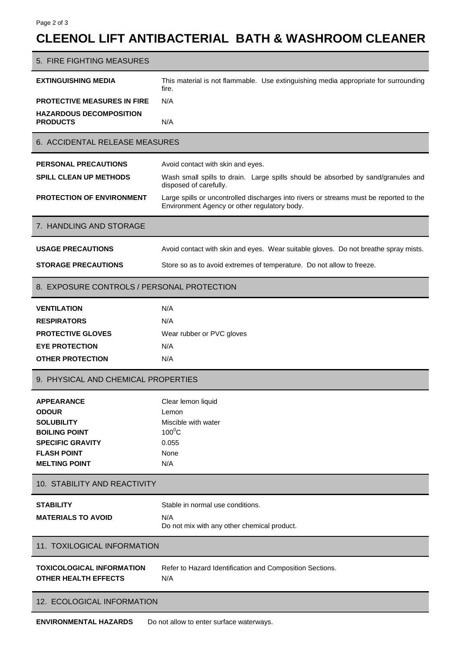# **CLEENOL LIFT ANTIBACTERIAL BATH & WASHROOM CLEANER**

| 5. FIRE FIGHTING MEASURES                                       |                                                                                                                                        |  |
|-----------------------------------------------------------------|----------------------------------------------------------------------------------------------------------------------------------------|--|
| <b>EXTINGUISHING MEDIA</b>                                      | This material is not flammable. Use extinguishing media appropriate for surrounding<br>fire.                                           |  |
| PROTECTIVE MEASURES IN FIRE                                     | N/A                                                                                                                                    |  |
| <b>HAZARDOUS DECOMPOSITION</b>                                  |                                                                                                                                        |  |
| <b>PRODUCTS</b>                                                 | N/A                                                                                                                                    |  |
| 6. ACCIDENTAL RELEASE MEASURES                                  |                                                                                                                                        |  |
| <b>PERSONAL PRECAUTIONS</b>                                     | Avoid contact with skin and eyes.                                                                                                      |  |
| <b>SPILL CLEAN UP METHODS</b>                                   | Wash small spills to drain. Large spills should be absorbed by sand/granules and<br>disposed of carefully.                             |  |
| <b>PROTECTION OF ENVIRONMENT</b>                                | Large spills or uncontrolled discharges into rivers or streams must be reported to the<br>Environment Agency or other regulatory body. |  |
| 7. HANDLING AND STORAGE                                         |                                                                                                                                        |  |
| <b>USAGE PRECAUTIONS</b>                                        | Avoid contact with skin and eyes. Wear suitable gloves. Do not breathe spray mists.                                                    |  |
| <b>STORAGE PRECAUTIONS</b>                                      | Store so as to avoid extremes of temperature. Do not allow to freeze.                                                                  |  |
| 8. EXPOSURE CONTROLS / PERSONAL PROTECTION                      |                                                                                                                                        |  |
| <b>VENTILATION</b>                                              | N/A                                                                                                                                    |  |
| <b>RESPIRATORS</b>                                              | N/A                                                                                                                                    |  |
| <b>PROTECTIVE GLOVES</b>                                        | Wear rubber or PVC gloves                                                                                                              |  |
| <b>EYE PROTECTION</b>                                           | N/A                                                                                                                                    |  |
| <b>OTHER PROTECTION</b>                                         | N/A                                                                                                                                    |  |
| 9. PHYSICAL AND CHEMICAL PROPERTIES                             |                                                                                                                                        |  |
| <b>APPEARANCE</b>                                               | Clear lemon liquid                                                                                                                     |  |
| <b>ODOUR</b>                                                    | Lemon                                                                                                                                  |  |
| <b>SOLUBILITY</b>                                               | Miscible with water                                                                                                                    |  |
| <b>BOILING POINT</b><br><b>SPECIFIC GRAVITY</b>                 | $100^0C$<br>0.055                                                                                                                      |  |
| <b>FLASH POINT</b>                                              | None                                                                                                                                   |  |
| <b>MELTING POINT</b>                                            | N/A                                                                                                                                    |  |
| 10. STABILITY AND REACTIVITY                                    |                                                                                                                                        |  |
| <b>STABILITY</b>                                                | Stable in normal use conditions.                                                                                                       |  |
| <b>MATERIALS TO AVOID</b>                                       | N/A                                                                                                                                    |  |
|                                                                 | Do not mix with any other chemical product.                                                                                            |  |
| 11. TOXILOGICAL INFORMATION                                     |                                                                                                                                        |  |
| <b>TOXICOLOGICAL INFORMATION</b><br><b>OTHER HEALTH EFFECTS</b> | Refer to Hazard Identification and Composition Sections.<br>N/A                                                                        |  |
|                                                                 |                                                                                                                                        |  |
| 12. ECOLOGICAL INFORMATION                                      |                                                                                                                                        |  |
|                                                                 |                                                                                                                                        |  |